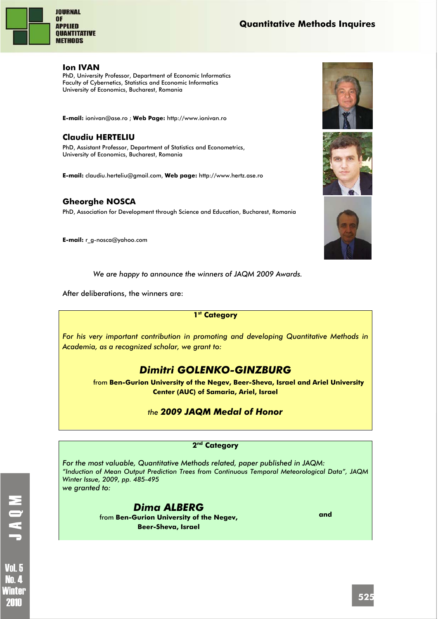

## **Quantitative Methods Inquires**

#### **Ion IVAN**

PhD, University Professor, Department of Economic Informatics Faculty of Cybernetics, Statistics and Economic Informatics University of Economics, Bucharest, Romania

**E-mail:** ionivan@ase.ro ; **Web Page:** http://www.ionivan.ro

## **Claudiu HERTELIU**

PhD, Assistant Professor, Department of Statistics and Econometrics, University of Economics, Bucharest, Romania

**E-mail:** claudiu.herteliu@gmail.com, **Web page:** http://www.hertz.ase.ro

## **Gheorghe NOSCA**

PhD, Association for Development through Science and Education, Bucharest, Romania

**E-mail:** r\_g-nosca@yahoo.com

*We are happy to announce the winners of JAQM 2009 Awards.* 

After deliberations, the winners are:

#### **1st Category**

*For his very important contribution in promoting and developing Quantitative Methods in Academia, as a recognized scholar, we grant to:* 

# *Dimitri GOLENKO-GINZBURG*

from **Ben-Gurion University of the Negev, Beer-Sheva, Israel and Ariel University Center (AUC) of Samaria, Ariel, Israel** 

## *the 2009 JAQM Medal of Honor*

#### **2nd Category**

*For the most valuable, Quantitative Methods related, paper published in JAQM: "Induction of Mean Output Prediction Trees from Continuous Temporal Meteorological Data", JAQM Winter Issue, 2009, pp. 485-495 we granted to:* 

> *Dima ALBERG*  from **Ben-Gurion University of the Negev, Beer-Sheva, Israel**

**and**







**Vol. 5** Nn 4 Ninter 2010